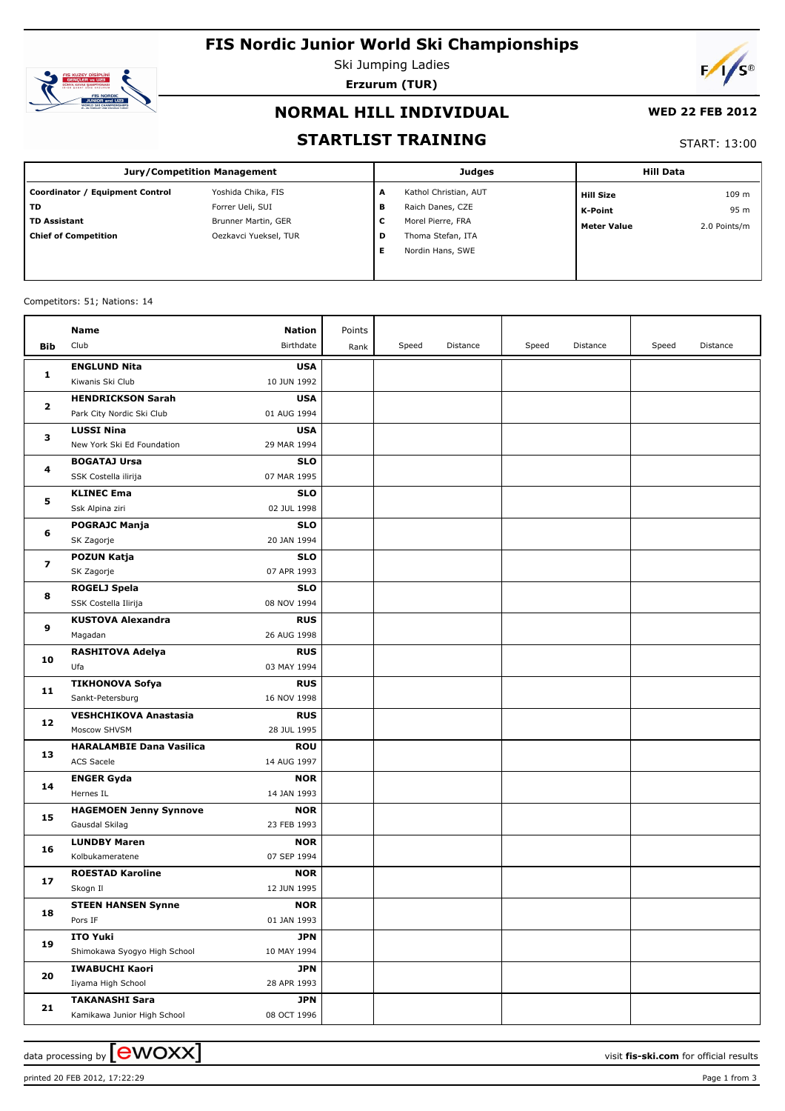# **FIS Nordic Junior World Ski Championships**



Ski Jumping Ladies **Erzurum (TUR)**



### **NORMAL HILL INDIVIDUAL**

#### **WED 22 FEB 2012**

### **STARTLIST TRAINING**

START: 13:00

| <b>Jury/Competition Management</b> |                       |   | <b>Judges</b>         | <b>Hill Data</b>   |              |
|------------------------------------|-----------------------|---|-----------------------|--------------------|--------------|
| Coordinator / Equipment Control    | Yoshida Chika, FIS    | A | Kathol Christian, AUT | <b>Hill Size</b>   | 109 m        |
| TD                                 | Forrer Ueli, SUI      | в | Raich Danes, CZE      | K-Point            | 95 m         |
| <b>TD Assistant</b>                | Brunner Martin, GER   | v | Morel Pierre, FRA     | <b>Meter Value</b> | 2.0 Points/m |
| <b>Chief of Competition</b>        | Oezkavci Yueksel, TUR | D | Thoma Stefan, ITA     |                    |              |
|                                    |                       |   | Nordin Hans, SWE      |                    |              |
|                                    |                       |   |                       |                    |              |

#### Competitors: 51; Nations: 14

|                   | Name                                         | <b>Nation</b>             | Points |       |          |       |          |       |          |
|-------------------|----------------------------------------------|---------------------------|--------|-------|----------|-------|----------|-------|----------|
| Bib               | Club                                         | Birthdate                 | Rank   | Speed | Distance | Speed | Distance | Speed | Distance |
|                   | <b>ENGLUND Nita</b>                          | <b>USA</b>                |        |       |          |       |          |       |          |
| $\mathbf{1}$      | Kiwanis Ski Club                             | 10 JUN 1992               |        |       |          |       |          |       |          |
| $\mathbf{2}$<br>3 | <b>HENDRICKSON Sarah</b>                     | <b>USA</b>                |        |       |          |       |          |       |          |
|                   | Park City Nordic Ski Club                    | 01 AUG 1994               |        |       |          |       |          |       |          |
|                   | <b>LUSSI Nina</b>                            | <b>USA</b>                |        |       |          |       |          |       |          |
|                   | New York Ski Ed Foundation                   | 29 MAR 1994               |        |       |          |       |          |       |          |
|                   | <b>BOGATAJ Ursa</b>                          | <b>SLO</b>                |        |       |          |       |          |       |          |
| 4                 | SSK Costella ilirija                         | 07 MAR 1995               |        |       |          |       |          |       |          |
|                   | <b>KLINEC Ema</b>                            | <b>SLO</b>                |        |       |          |       |          |       |          |
| 5                 | Ssk Alpina ziri                              | 02 JUL 1998               |        |       |          |       |          |       |          |
| 6                 | <b>POGRAJC Manja</b>                         | <b>SLO</b>                |        |       |          |       |          |       |          |
|                   | SK Zagorje                                   | 20 JAN 1994               |        |       |          |       |          |       |          |
| 7                 | <b>POZUN Katja</b>                           | <b>SLO</b>                |        |       |          |       |          |       |          |
|                   | SK Zagorje                                   | 07 APR 1993               |        |       |          |       |          |       |          |
| 8                 | <b>ROGELJ Spela</b>                          | <b>SLO</b>                |        |       |          |       |          |       |          |
|                   | SSK Costella Ilirija                         | 08 NOV 1994               |        |       |          |       |          |       |          |
| 9                 | <b>KUSTOVA Alexandra</b>                     | <b>RUS</b>                |        |       |          |       |          |       |          |
|                   | Magadan                                      | 26 AUG 1998               |        |       |          |       |          |       |          |
| 10                | <b>RASHITOVA Adelya</b>                      | <b>RUS</b>                |        |       |          |       |          |       |          |
|                   | Ufa                                          | 03 MAY 1994               |        |       |          |       |          |       |          |
| 11                | <b>TIKHONOVA Sofya</b>                       | <b>RUS</b>                |        |       |          |       |          |       |          |
|                   | Sankt-Petersburg                             | 16 NOV 1998<br><b>RUS</b> |        |       |          |       |          |       |          |
| 12                | <b>VESHCHIKOVA Anastasia</b><br>Moscow SHVSM | 28 JUL 1995               |        |       |          |       |          |       |          |
|                   | <b>HARALAMBIE Dana Vasilica</b>              | <b>ROU</b>                |        |       |          |       |          |       |          |
| 13                | ACS Sacele                                   | 14 AUG 1997               |        |       |          |       |          |       |          |
|                   | <b>ENGER Gyda</b>                            | <b>NOR</b>                |        |       |          |       |          |       |          |
| 14                | Hernes IL                                    | 14 JAN 1993               |        |       |          |       |          |       |          |
|                   | <b>HAGEMOEN Jenny Synnove</b>                | <b>NOR</b>                |        |       |          |       |          |       |          |
| 15                | Gausdal Skilag                               | 23 FEB 1993               |        |       |          |       |          |       |          |
|                   | <b>LUNDBY Maren</b>                          | <b>NOR</b>                |        |       |          |       |          |       |          |
| 16                | Kolbukameratene                              | 07 SEP 1994               |        |       |          |       |          |       |          |
|                   | <b>ROESTAD Karoline</b>                      | <b>NOR</b>                |        |       |          |       |          |       |          |
| 17                | Skogn Il                                     | 12 JUN 1995               |        |       |          |       |          |       |          |
|                   | <b>STEEN HANSEN Synne</b>                    | <b>NOR</b>                |        |       |          |       |          |       |          |
| 18                | Pors IF                                      | 01 JAN 1993               |        |       |          |       |          |       |          |
| 19                | <b>ITO Yuki</b>                              | <b>JPN</b>                |        |       |          |       |          |       |          |
|                   | Shimokawa Syogyo High School                 | 10 MAY 1994               |        |       |          |       |          |       |          |
| 20                | <b>IWABUCHI Kaori</b>                        | <b>JPN</b>                |        |       |          |       |          |       |          |
|                   | Iiyama High School                           | 28 APR 1993               |        |       |          |       |          |       |          |
| 21                | <b>TAKANASHI Sara</b>                        | <b>JPN</b>                |        |       |          |       |          |       |          |
|                   | Kamikawa Junior High School                  | 08 OCT 1996               |        |       |          |       |          |       |          |

printed 20 FEB 2012, 17:22:29 Page 1 from 3

data processing by **CWOXX**  $\blacksquare$  and  $\blacksquare$  and  $\blacksquare$  and  $\blacksquare$  and  $\blacksquare$  and  $\blacksquare$  and  $\blacksquare$  and  $\blacksquare$  and  $\blacksquare$  and  $\blacksquare$  and  $\blacksquare$  and  $\blacksquare$  and  $\blacksquare$  and  $\blacksquare$  and  $\blacksquare$  and  $\blacksquare$  and  $\blacksquare$  and  $\blacksquare$  a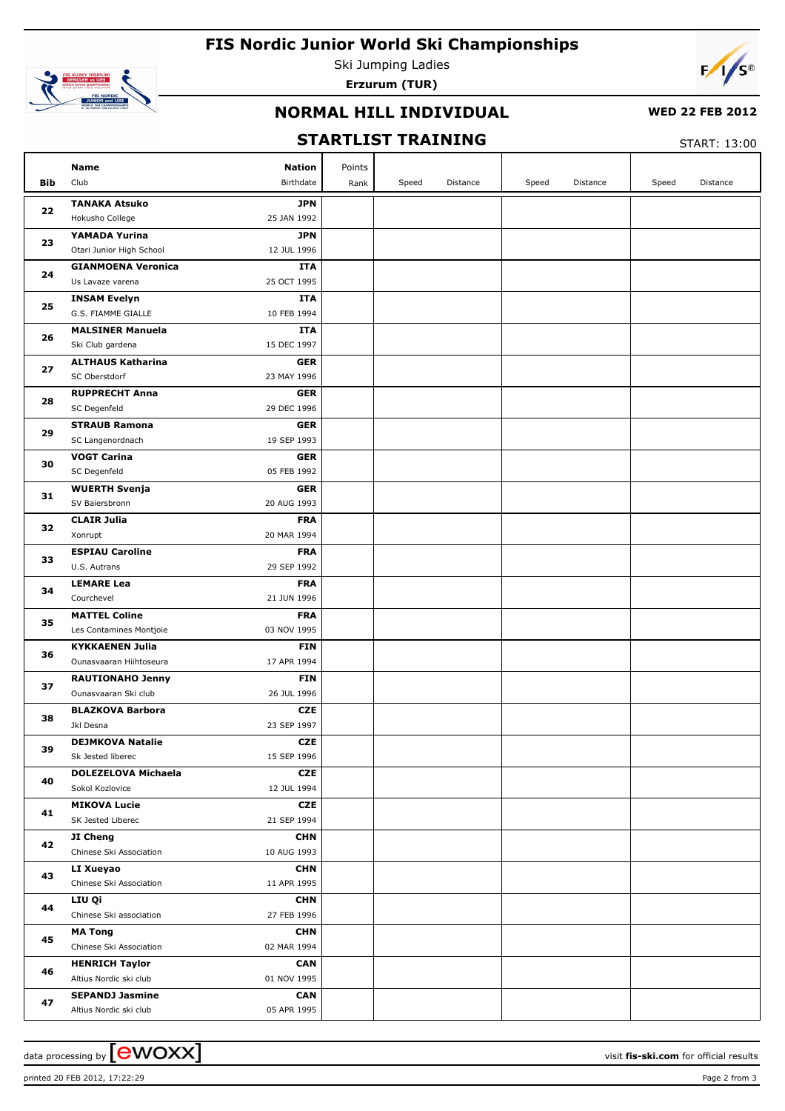# **FIS Nordic Junior World Ski Championships**



Ski Jumping Ladies **Erzurum (TUR)**



## **NORMAL HILL INDIVIDUAL**

### **WED 22 FEB 2012**

## **STARTLIST TRAINING**

START: 13:00

|     | Name<br><b>Nation</b>                                                     | Points |       |          |       |          |       |          |
|-----|---------------------------------------------------------------------------|--------|-------|----------|-------|----------|-------|----------|
| Bib | Club<br>Birthdate                                                         | Rank   | Speed | Distance | Speed | Distance | Speed | Distance |
|     | <b>TANAKA Atsuko</b><br><b>JPN</b>                                        |        |       |          |       |          |       |          |
| 22  | Hokusho College<br>25 JAN 1992                                            |        |       |          |       |          |       |          |
|     | YAMADA Yurina<br><b>JPN</b>                                               |        |       |          |       |          |       |          |
| 23  | Otari Junior High School<br>12 JUL 1996                                   |        |       |          |       |          |       |          |
|     | <b>GIANMOENA Veronica</b><br>ITA                                          |        |       |          |       |          |       |          |
| 24  | 25 OCT 1995<br>Us Lavaze varena                                           |        |       |          |       |          |       |          |
|     | <b>INSAM Evelyn</b><br>ITA                                                |        |       |          |       |          |       |          |
| 25  | G.S. FIAMME GIALLE<br>10 FEB 1994                                         |        |       |          |       |          |       |          |
|     | <b>MALSINER Manuela</b><br>ITA                                            |        |       |          |       |          |       |          |
| 26  | 15 DEC 1997<br>Ski Club gardena                                           |        |       |          |       |          |       |          |
|     | <b>ALTHAUS Katharina</b><br><b>GER</b>                                    |        |       |          |       |          |       |          |
| 27  | SC Oberstdorf<br>23 MAY 1996                                              |        |       |          |       |          |       |          |
|     | <b>RUPPRECHT Anna</b><br><b>GER</b>                                       |        |       |          |       |          |       |          |
| 28  | 29 DEC 1996<br>SC Degenfeld                                               |        |       |          |       |          |       |          |
|     | <b>STRAUB Ramona</b><br><b>GER</b>                                        |        |       |          |       |          |       |          |
| 29  | SC Langenordnach<br>19 SEP 1993                                           |        |       |          |       |          |       |          |
|     | <b>VOGT Carina</b><br><b>GER</b>                                          |        |       |          |       |          |       |          |
| 30  | 05 FEB 1992<br>SC Degenfeld                                               |        |       |          |       |          |       |          |
|     | <b>WUERTH Svenja</b><br><b>GER</b>                                        |        |       |          |       |          |       |          |
| 31  | 20 AUG 1993<br>SV Baiersbronn                                             |        |       |          |       |          |       |          |
| 32  | <b>CLAIR Julia</b><br><b>FRA</b>                                          |        |       |          |       |          |       |          |
|     | 20 MAR 1994<br>Xonrupt                                                    |        |       |          |       |          |       |          |
|     | <b>ESPIAU Caroline</b><br><b>FRA</b>                                      |        |       |          |       |          |       |          |
| 33  | U.S. Autrans<br>29 SEP 1992                                               |        |       |          |       |          |       |          |
| 34  | <b>LEMARE Lea</b><br><b>FRA</b>                                           |        |       |          |       |          |       |          |
|     | Courchevel<br>21 JUN 1996                                                 |        |       |          |       |          |       |          |
| 35  | <b>MATTEL Coline</b><br><b>FRA</b>                                        |        |       |          |       |          |       |          |
|     | Les Contamines Montjoie<br>03 NOV 1995                                    |        |       |          |       |          |       |          |
| 36  | <b>KYKKAENEN Julia</b><br><b>FIN</b>                                      |        |       |          |       |          |       |          |
|     | Ounasvaaran Hiihtoseura<br>17 APR 1994                                    |        |       |          |       |          |       |          |
| 37  | <b>RAUTIONAHO Jenny</b><br><b>FIN</b>                                     |        |       |          |       |          |       |          |
|     | Ounasvaaran Ski club<br>26 JUL 1996                                       |        |       |          |       |          |       |          |
| 38  | <b>BLAZKOVA Barbora</b><br><b>CZE</b>                                     |        |       |          |       |          |       |          |
|     | Jkl Desna<br>23 SEP 1997                                                  |        |       |          |       |          |       |          |
| 39  | <b>DEJMKOVA Natalie</b><br><b>CZE</b><br>Sk Jested liberec<br>15 SEP 1996 |        |       |          |       |          |       |          |
|     | <b>DOLEZELOVA Michaela</b><br><b>CZE</b>                                  |        |       |          |       |          |       |          |
| 40  | Sokol Kozlovice<br>12 JUL 1994                                            |        |       |          |       |          |       |          |
|     | <b>MIKOVA Lucie</b><br><b>CZE</b>                                         |        |       |          |       |          |       |          |
| 41  | SK Jested Liberec<br>21 SEP 1994                                          |        |       |          |       |          |       |          |
|     | JI Cheng<br><b>CHN</b>                                                    |        |       |          |       |          |       |          |
| 42  | Chinese Ski Association<br>10 AUG 1993                                    |        |       |          |       |          |       |          |
|     | <b>CHN</b><br>LI Xueyao                                                   |        |       |          |       |          |       |          |
| 43  | Chinese Ski Association<br>11 APR 1995                                    |        |       |          |       |          |       |          |
|     | LIU Qi<br><b>CHN</b>                                                      |        |       |          |       |          |       |          |
| 44  | Chinese Ski association<br>27 FEB 1996                                    |        |       |          |       |          |       |          |
|     | <b>CHN</b><br><b>MA Tong</b>                                              |        |       |          |       |          |       |          |
| 45  | Chinese Ski Association<br>02 MAR 1994                                    |        |       |          |       |          |       |          |
|     | <b>HENRICH Taylor</b><br><b>CAN</b>                                       |        |       |          |       |          |       |          |
| 46  | 01 NOV 1995<br>Altius Nordic ski club                                     |        |       |          |       |          |       |          |
|     | CAN<br><b>SEPANDJ Jasmine</b>                                             |        |       |          |       |          |       |          |
| 47  | 05 APR 1995<br>Altius Nordic ski club                                     |        |       |          |       |          |       |          |